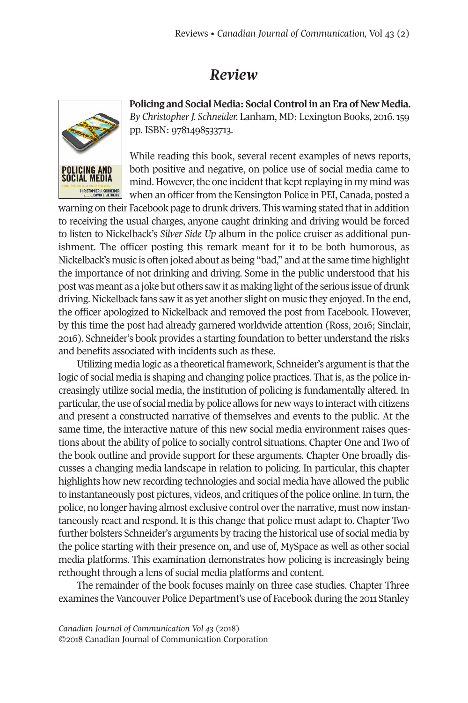## *Review*



**Policing and Social Media: Social Control in an Era of New Media.** *By ChristopherJ. Schneider.* Lanham, MD: Lexington Books, 2016.159 pp. ISBN: 9781498533713.

While reading this book, several recent examples of news reports, both positive and negative, on police use of social media came to mind. However, the one incident that kept replaying in my mind was when an officer from the Kensington Police in PEI, Canada, posted a

warning on their Facebook page to drunk drivers. This warning stated that in addition to receiving the usual charges, anyone caught drinking and driving would be forced to listen to Nickelback's *Silver Side Up* album in the police cruiser as additional punishment. The officer posting this remark meant for it to be both humorous, as Nickelback's music is often joked about as being "bad," and atthe same time highlight the importance of not drinking and driving. Some in the public understood that his post was meant as a joke but others saw it as making light ofthe serious issue of drunk driving. Nickelback fans saw it as yet another slight on music they enjoyed.In the end, the officer apologized to Nickelback and removed the post from Facebook. However, by this time the post had already garnered worldwide attention (Ross, 2016; Sinclair, 2016). Schneider's book provides a starting foundation to better understand the risks and benefits associated with incidents such as these.

Utilizing media logic as a theoretical framework, Schneider's argument is that the logic of social media is shaping and changing police practices. That is, as the police increasingly utilize social media, the institution of policing is fundamentally altered. In particular, the use of social media by police allows for new ways to interact with citizens and present a constructed narrative of themselves and events to the public. At the same time, the interactive nature of this new social media environment raises questions about the ability of police to socially control situations. Chapter One and Two of the book outline and provide support for these arguments. Chapter One broadly discusses a changing media landscape in relation to policing. In particular, this chapter highlights how new recording technologies and social media have allowed the public to instantaneously post pictures, videos, and critiques of the police online. In turn, the police, no longer having almost exclusive control overthe narrative, must now instantaneously react and respond. It is this change that police must adapt to. Chapter Two further bolsters Schneider's arguments by tracing the historical use of social media by the police starting with their presence on, and use of, MySpace as well as other social media platforms. This examination demonstrates how policing is increasingly being rethought through a lens of social media platforms and content.

The remainder of the book focuses mainly on three case studies. Chapter Three examines the Vancouver Police Department's use of Facebook during the 2011 Stanley

*Canadian Journal of [Communication](http://www.cjc-online.ca) Vol 43* (2018) ©2018 Canadian Journal of Communication Corporation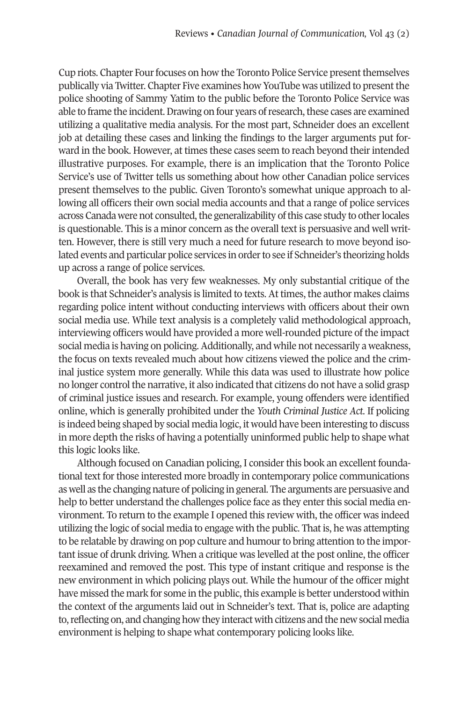Cup riots. Chapter Four focuses on how the Toronto Police Service present themselves publically via Twitter. Chapter Five examines how YouTube was utilized to present the police shooting of Sammy Yatim to the public before the Toronto Police Service was able to frame the incident. Drawing on four years of research, these cases are examined utilizing a qualitative media analysis. For the most part, Schneider does an excellent job at detailing these cases and linking the findings to the larger arguments put forward in the book. However, at times these cases seem to reach beyond their intended illustrative purposes. For example, there is an implication that the Toronto Police Service's use of Twitter tells us something about how other Canadian police services present themselves to the public. Given Toronto's somewhat unique approach to allowing all officers their own social media accounts and that a range of police services across Canada were not consulted, the generalizability of this case study to other locales is questionable. This is a minor concern as the overall text is persuasive and well written. However, there is still very much a need for future research to move beyond isolated events and particular police services in orderto see if Schneider's theorizing holds up across a range of police services.

Overall, the book has very few weaknesses. My only substantial critique of the book is that Schneider's analysis is limited to texts. At times, the author makes claims regarding police intent without conducting interviews with officers about their own social media use. While text analysis is a completely valid methodological approach, interviewing officers would have provided a more well-rounded picture of the impact social media is having on policing.Additionally, and while not necessarily a weakness, the focus on texts revealed much about how citizens viewed the police and the criminal justice system more generally. While this data was used to illustrate how police no longer control the narrative, it also indicated that citizens do not have a solid grasp of criminal justice issues and research. For example, young offenders were identified online, which is generally prohibited under the *Youth Criminal Justice Act*. If policing is indeed being shaped by social media logic, it would have been interesting to discuss in more depth the risks of having a potentially uninformed public help to shape what this logic looks like.

Although focused on Canadian policing, I consider this book an excellent foundational text for those interested more broadly in contemporary police communications as well as the changing nature of policing in general. The arguments are persuasive and help to better understand the challenges police face as they enter this social media environment. To return to the example I opened this review with, the officer was indeed utilizing the logic of social media to engage with the public. That is, he was attempting to be relatable by drawing on pop culture and humourto bring attention to the important issue of drunk driving. When a critique was levelled at the post online, the officer reexamined and removed the post. This type of instant critique and response is the new environment in which policing plays out. While the humour of the officer might have missed the mark for some in the public, this example is better understood within the context of the arguments laid out in Schneider's text. That is, police are adapting to,reflecting on, and changing how they interact with citizens and the new social media environment is helping to shape what contemporary policing looks like.